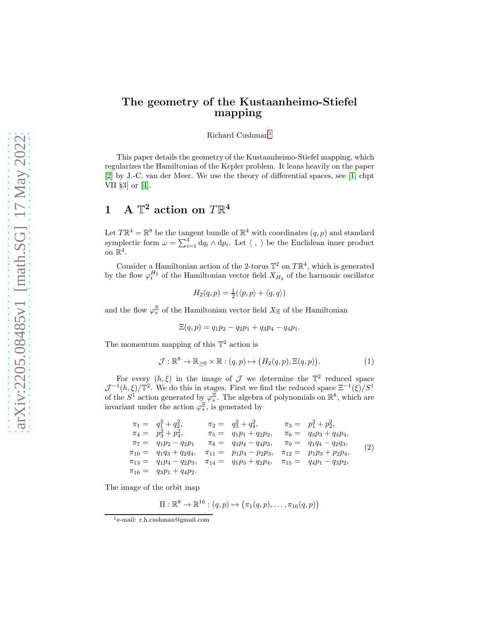## The geometry of the Kustaanheimo-Stiefel mapping

#### Richard Cushman[1](#page-0-0)

This paper details the geometry of the Kustaanheimo-Stiefel mapping, which regularizes the Hamiltonian of the Kepler problem. It leans heavily on the paper [\[2\]](#page-12-0) by J.-C. van der Meer. We use the theory of differential spaces, see [\[1,](#page-12-1) chpt VII §3] or [\[4\]](#page-12-2).

# 1 A  $\mathbb{T}^2$  action on  $T\mathbb{R}^4$

Let  $T\mathbb{R}^4 = \mathbb{R}^8$  be the tangent bundle of  $\mathbb{R}^4$  with coordinates  $(q, p)$  and standard symplectic form  $\omega = \sum_{i=1}^4 dq_i \wedge dp_i$ . Let  $\langle , \rangle$  be the Euclidean inner product on  $\mathbb{R}^4$ .

Consider a Hamiltonian action of the 2-torus  $\mathbb{T}^2$  on  $T\mathbb{R}^4$ , which is generated by the flow  $\varphi_t^{H_2}$  of the Hamiltonian vector field  $X_{H_2}$  of the harmonic oscillator

$$
H_2(q, p) = \frac{1}{2}(\langle p, p \rangle + \langle q, q \rangle)
$$

and the flow  $\varphi_s^{\Xi}$  of the Hamiltonian vector field  $X_{\Xi}$  of the Hamiltonian

$$
\Xi(q,p) = q_1 p_2 - q_2 p_1 + q_3 p_4 - q_4 p_1.
$$

The momentum mapping of this  $\mathbb{T}^2$  action is

<span id="page-0-1"></span>
$$
\mathcal{J}: \mathbb{R}^8 \to \mathbb{R}_{\geq 0} \times \mathbb{R}: (q, p) \mapsto (H_2(q, p), \Xi(q, p)). \tag{1}
$$

For every  $(h, \xi)$  in the image of  $\mathcal J$  we determine the  $\mathbb T^2$  reduced space  $\mathcal{J}^{-1}(h,\xi)/\mathbb{T}^2$ . We do this in stages. First we find the reduced space  $\Xi^{-1}(\xi)/S^1$ of the  $S^1$  action generated by  $\varphi_s^{\Xi}$ . The algebra of polynomials on  $\mathbb{R}^8$ , which are invariant under the action  $\varphi_s^{\Xi}$ , is generated by

$$
\begin{array}{rcl}\n\pi_1 = & q_1^2 + q_2^2, & \pi_2 = & q_3^2 + q_4^2, & \pi_3 = & p_1^2 + p_2^2, \\
\pi_4 = & p_3^2 + p_4^2, & \pi_5 = & q_1 p_1 + q_2 p_2, & \pi_6 = & q_3 p_3 + q_4 p_4, \\
\pi_7 = & q_1 p_2 - q_2 p_1 & \pi_8 = & q_3 p_4 - q_4 p_3, & \pi_9 = & q_1 q_4 - q_2 q_3, \\
\pi_{10} = & q_1 q_3 + q_2 q_4, & \pi_{11} = & p_1 p_4 - p_2 p_3, & \pi_{12} = & p_1 p_3 + p_2 p_4, \\
\pi_{13} = & q_1 p_4 - q_2 p_3, & \pi_{14} = & q_1 p_3 + q_2 p_4, & \pi_{15} = & q_4 p_1 - q_3 p_2, \\
\pi_{16} = & q_3 p_1 + q_4 p_2.\n\end{array} \tag{2}
$$

The image of the orbit map

$$
\Pi: \mathbb{R}^8 \to \mathbb{R}^{16} : (q,p) \mapsto (\pi_1(q,p), \ldots, \pi_{16}(q,p))
$$

<span id="page-0-0"></span><sup>1</sup> e-mail: r.h.cushman@gmail.com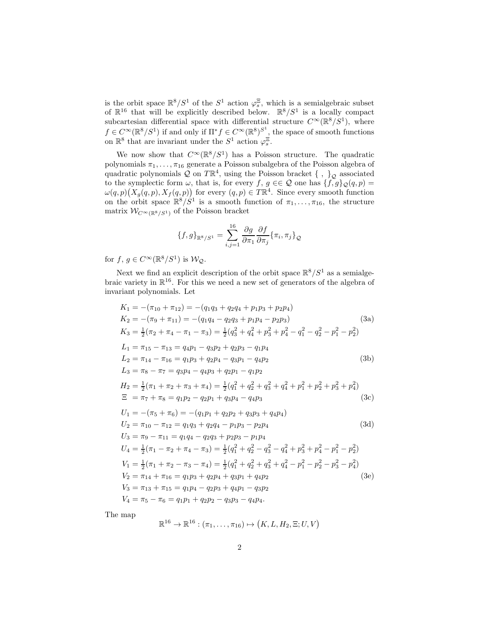is the orbit space  $\mathbb{R}^8/S^1$  of the  $S^1$  action  $\varphi_s^{\Xi}$ , which is a semialgebraic subset of  $\mathbb{R}^{16}$  that will be explicitly described below.  $\mathbb{R}^8/S^1$  is a locally compact subcartesian differential space with differential structure  $C^{\infty}(\mathbb{R}^8/S^1)$ , where  $f \in C^{\infty}(\mathbb{R}^8/S^1)$  if and only if  $\Pi^* f \in C^{\infty}(\mathbb{R}^8)^{S^1}$ , the space of smooth functions on  $\mathbb{R}^8$  that are invariant under the  $S^1$  action  $\varphi_s^{\Xi}$ .

We now show that  $C^{\infty}(\mathbb{R}^{8}/S^{1})$  has a Poisson structure. The quadratic polynomials  $\pi_1, \ldots, \pi_{16}$  generate a Poisson subalgebra of the Poisson algebra of quadratic polynomials  ${\mathcal Q}$  on  $T{\mathbb R}^4,$  using the Poisson bracket  $\{\ ,\ \}_{{\mathcal Q}}$  associated to the symplectic form  $\omega$ , that is, for every f,  $g \in \mathcal{Q}$  one has  $\{f, g\}_{\mathcal{Q}}(q, p) =$  $\omega(q,p)(X_q(q,p),X_f(q,p))$  for every  $(q,p)\in T\mathbb{R}^4$ . Since every smooth function on the orbit space  $\mathbb{R}^8/S^1$  is a smooth function of  $\pi_1, \ldots, \pi_{16}$ , the structure matrix  $W_{C^{\infty}(\mathbb{R}^8/S^1)}$  of the Poisson bracket

$$
\{f,g\}_{\mathbb{R}^8/S^1} = \sum_{i,j=1}^{16} \frac{\partial g}{\partial \pi_1} \frac{\partial f}{\partial \pi_j} \{\pi_i, \pi_j\}_{\mathcal{Q}}
$$

for  $f, g \in C^{\infty}(\mathbb{R}^{8}/S^{1})$  is  $\mathcal{W}_{\mathcal{Q}}$ .

Next we find an explicit description of the orbit space  $\mathbb{R}^8/S^1$  as a semialgebraic variety in  $\mathbb{R}^{16}$ . For this we need a new set of generators of the algebra of invariant polynomials. Let

$$
K_1 = -(\pi_{10} + \pi_{12}) = -(q_1q_3 + q_2q_4 + p_1p_3 + p_2p_4)
$$
  
\n
$$
K_2 = -(\pi_9 + \pi_{11}) = -(q_1q_4 - q_2q_3 + p_1p_4 - p_2p_3)
$$
(3a)  
\n
$$
K_3 = \frac{1}{2}(\pi_2 + \pi_4 - \pi_1 - \pi_3) = \frac{1}{2}(q_3^2 + q_4^2 + p_3^2 + p_4^2 - q_1^2 - q_2^2 - p_1^2 - p_2^2)
$$
  
\n
$$
L_1 = \pi_{15} - \pi_{13} = q_4p_1 - q_3p_2 + q_2p_3 - q_1p_4
$$
  
\n
$$
L_2 = \pi_{14} - \pi_{16} = q_1p_3 + q_2p_4 - q_3p_1 - q_4p_2
$$
(3b)  
\n
$$
L_3 = \pi_8 - \pi_7 = q_3p_4 - q_4p_3 + q_2p_1 - q_1p_2
$$
  
\n
$$
H_2 = \frac{1}{2}(\pi_1 + \pi_2 + \pi_3 + \pi_4) = \frac{1}{2}(q_1^2 + q_2^2 + q_3^2 + q_4^2 + p_1^2 + p_2^2 + p_3^2 + p_4^2)
$$
  
\n
$$
\Xi = \pi_7 + \pi_8 = q_1p_2 - q_2p_1 + q_3p_4 - q_4p_3
$$
(3c)  
\n
$$
U_1 = -(\pi_5 + \pi_6) = -(q_1p_1 + q_2p_2 + q_3p_3 + q_4p_4)
$$
  
\n
$$
U_2 = \pi_{10} - \pi_{12} = q_1q_3 + q_2q_4 - p_1p_3 - p_2p_4
$$
  
\n
$$
U_3 = \pi_9 - \pi_{11} = q_1q_4 - q_2q_3 + p_2p_3 - p_1p_4
$$
  
\n
$$
U_4 = \frac{1}{2}(\pi_1 - \pi_2 + \pi_4 - \pi_3) = \frac{1}{2}(q_1^2 + q_2^2 - q
$$

The map

$$
\mathbb{R}^{16} \to \mathbb{R}^{16} : (\pi_1, \ldots, \pi_{16}) \mapsto (K, L, H_2, \Xi; U, V)
$$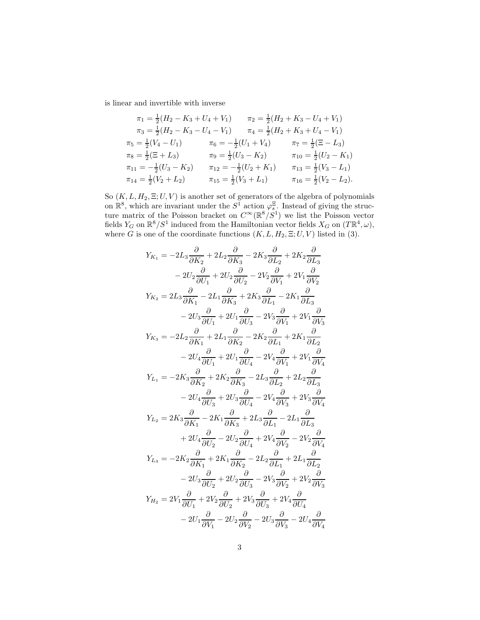is linear and invertible with inverse

$$
\pi_1 = \frac{1}{2}(H_2 - K_3 + U_4 + V_1) \qquad \pi_2 = \frac{1}{2}(H_2 + K_3 - U_4 + V_1)
$$
  
\n
$$
\pi_3 = \frac{1}{2}(H_2 - K_3 - U_4 - V_1) \qquad \pi_4 = \frac{1}{2}(H_2 + K_3 + U_4 - V_1)
$$
  
\n
$$
\pi_5 = \frac{1}{2}(V_4 - U_1) \qquad \pi_6 = -\frac{1}{2}(U_1 + V_4) \qquad \pi_7 = \frac{1}{2}(\Xi - L_3)
$$
  
\n
$$
\pi_8 = \frac{1}{2}(\Xi + L_3) \qquad \pi_9 = \frac{1}{2}(U_3 - K_2) \qquad \pi_{10} = \frac{1}{2}(U_2 - K_1)
$$
  
\n
$$
\pi_{11} = -\frac{1}{2}(U_3 - K_2) \qquad \pi_{12} = -\frac{1}{2}(U_2 + K_1) \qquad \pi_{13} = \frac{1}{2}(V_3 - L_1)
$$
  
\n
$$
\pi_{14} = \frac{1}{2}(V_2 + L_2) \qquad \pi_{15} = \frac{1}{2}(V_3 + L_1) \qquad \pi_{16} = \frac{1}{2}(V_2 - L_2).
$$

So  $(K, L, H_2, \Xi; U, V)$  is another set of generators of the algebra of polynomials on  $\mathbb{R}^8$ , which are invariant under the  $S^1$  action  $\varphi_s^{\Xi}$ . Instead of giving the structure matrix of the Poisson bracket on  $C^{\infty}(\mathbb{R}^{8}/S^{1})$  we list the Poisson vector fields  $Y_G$  on  $\mathbb{R}^8/S^1$  induced from the Hamiltonian vector fields  $X_G$  on  $(T\mathbb{R}^4,\omega)$ , where G is one of the coordinate functions  $(K, L, H_2, \Xi; U, V)$  listed in (3).

$$
Y_{K_1} = -2L_3 \frac{\partial}{\partial K_2} + 2L_2 \frac{\partial}{\partial K_3} - 2K_3 \frac{\partial}{\partial L_2} + 2K_2 \frac{\partial}{\partial L_3}
$$
  
\n
$$
-2U_2 \frac{\partial}{\partial U_1} + 2U_2 \frac{\partial}{\partial U_2} - 2V_2 \frac{\partial}{\partial V_1} + 2V_1 \frac{\partial}{\partial V_2}
$$
  
\n
$$
Y_{K_2} = 2L_3 \frac{\partial}{\partial K_1} - 2L_1 \frac{\partial}{\partial K_3} + 2K_3 \frac{\partial}{\partial L_1} - 2K_1 \frac{\partial}{\partial L_3}
$$
  
\n
$$
-2U_3 \frac{\partial}{\partial U_1} + 2U_1 \frac{\partial}{\partial U_3} - 2V_3 \frac{\partial}{\partial V_1} + 2V_1 \frac{\partial}{\partial V_3}
$$
  
\n
$$
Y_{K_3} = -2L_2 \frac{\partial}{\partial K_1} + 2L_1 \frac{\partial}{\partial K_2} - 2K_2 \frac{\partial}{\partial L_1} + 2K_1 \frac{\partial}{\partial L_2}
$$
  
\n
$$
-2U_4 \frac{\partial}{\partial U_1} + 2U_1 \frac{\partial}{\partial U_4} - 2V_4 \frac{\partial}{\partial V_1} + 2V_1 \frac{\partial}{\partial V_4}
$$
  
\n
$$
Y_{L_1} = -2K_3 \frac{\partial}{\partial K_2} + 2K_2 \frac{\partial}{\partial K_3} - 2L_3 \frac{\partial}{\partial L_2} + 2L_2 \frac{\partial}{\partial L_3}
$$
  
\n
$$
-2U_4 \frac{\partial}{\partial U_3} + 2U_3 \frac{\partial}{\partial U_4} - 2V_4 \frac{\partial}{\partial V_3} + 2V_3 \frac{\partial}{\partial V_4}
$$
  
\n
$$
Y_{L_2} = 2K_3 \frac{\partial}{\partial K_1} - 2K_1 \frac{\partial}{\partial K_3} + 2L_3 \frac{\partial}{\partial L_1} - 2L_1 \frac{\partial}{\partial L_3}
$$
  
\n
$$
+ 2U_4 \frac{\partial}{\partial U_2} - 2U_
$$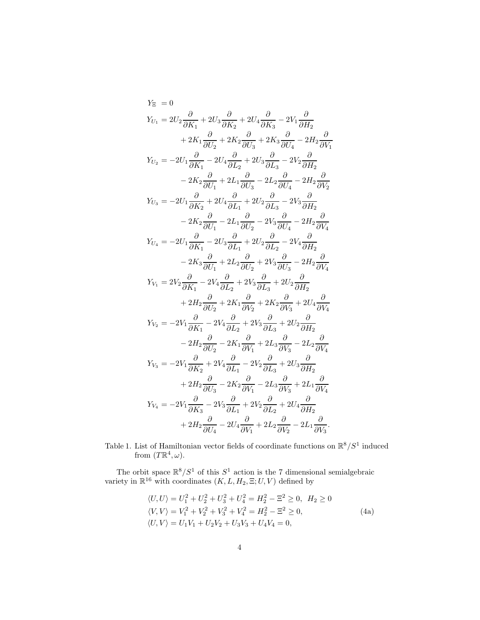$$
Y_{\Xi} = 0
$$
\n
$$
Y_{U_1} = 2U_2 \frac{\partial}{\partial K_1} + 2U_3 \frac{\partial}{\partial K_2} + 2U_4 \frac{\partial}{\partial K_3} - 2V_1 \frac{\partial}{\partial H_2}
$$
\n
$$
+ 2K_1 \frac{\partial}{\partial U_2} + 2K_2 \frac{\partial}{\partial U_3} + 2K_3 \frac{\partial}{\partial U_4} - 2H_2 \frac{\partial}{\partial V_1}
$$
\n
$$
Y_{U_2} = -2U_1 \frac{\partial}{\partial K_1} - 2U_4 \frac{\partial}{\partial L_2} + 2U_3 \frac{\partial}{\partial L_3} - 2V_2 \frac{\partial}{\partial H_2}
$$
\n
$$
- 2K_2 \frac{\partial}{\partial U_1} + 2L_1 \frac{\partial}{\partial U_3} - 2L_2 \frac{\partial}{\partial U_4} - 2H_2 \frac{\partial}{\partial V_2}
$$
\n
$$
Y_{U_3} = -2U_1 \frac{\partial}{\partial K_2} + 2U_4 \frac{\partial}{\partial L_1} + 2U_2 \frac{\partial}{\partial L_3} - 2V_3 \frac{\partial}{\partial H_2}
$$
\n
$$
- 2K_2 \frac{\partial}{\partial U_1} - 2L_1 \frac{\partial}{\partial U_2} - 2V_3 \frac{\partial}{\partial U_4} - 2H_2 \frac{\partial}{\partial V_4}
$$
\n
$$
Y_{U_4} = -2U_1 \frac{\partial}{\partial K_1} - 2U_3 \frac{\partial}{\partial L_1} + 2U_2 \frac{\partial}{\partial L_2} - 2V_4 \frac{\partial}{\partial H_2}
$$
\n
$$
- 2K_3 \frac{\partial}{\partial U_1} + 2L_2 \frac{\partial}{\partial U_2} + 2V_3 \frac{\partial}{\partial U_3} - 2H_2 \frac{\partial}{\partial V_4}
$$
\n
$$
Y_{V_1} = 2V_2 \frac{\partial}{\partial K_1} - 2V_4 \frac{\partial}{\partial L_2} + 2V_3 \frac{\partial}{\partial L_3} + 2U_2 \frac{\partial}{\partial H_2}
$$
\n
$$
+ 2H_2 \frac{\partial}{\partial U_2} +
$$

Table 1. List of Hamiltonian vector fields of coordinate functions on  $\mathbb{R}^8/S^1$  induced from  $(T\mathbb{R}^4,\omega)$ .

The orbit space  $\mathbb{R}^8/S^1$  of this  $S^1$  action is the 7 dimensional semialgebraic variety in  $\mathbb{R}^{16}$  with coordinates  $(K, L, H_2, \Xi; U, V)$  defined by

<span id="page-3-0"></span>
$$
\langle U, U \rangle = U_1^2 + U_2^2 + U_3^2 + U_4^2 = H_2^2 - \Xi^2 \ge 0, \quad H_2 \ge 0
$$
  

$$
\langle V, V \rangle = V_1^2 + V_2^2 + V_3^2 + V_4^2 = H_2^2 - \Xi^2 \ge 0,
$$
  

$$
\langle U, V \rangle = U_1 V_1 + U_2 V_2 + U_3 V_3 + U_4 V_4 = 0,
$$
 (4a)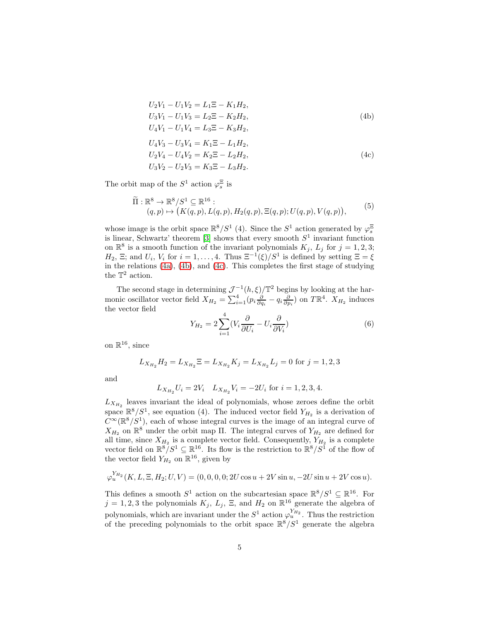<span id="page-4-1"></span><span id="page-4-0"></span>
$$
U_2V_1 - U_1V_2 = L_1\Xi - K_1H_2,
$$
  
\n
$$
U_3V_1 - U_1V_3 = L_2\Xi - K_2H_2,
$$
  
\n
$$
U_4V_1 - U_1V_4 = L_3\Xi - K_3H_2,
$$
  
\n
$$
U_4V_3 - U_3V_4 = K_1\Xi - L_1H_2,
$$
  
\n
$$
U_2V_4 - U_4V_2 = K_2\Xi - L_2H_2,
$$
  
\n
$$
U_3V_2 - U_2V_3 = K_3\Xi - L_3H_2.
$$
\n(4c)

The orbit map of the  $S^1$  action  $\varphi_s^{\Xi}$  is

$$
\widetilde{\Pi}: \mathbb{R}^8 \to \mathbb{R}^8 / S^1 \subseteq \mathbb{R}^{16} : (q,p) \mapsto (K(q,p), L(q,p), H_2(q,p), \Xi(q,p); U(q,p), V(q,p)),
$$
\n(5)

whose image is the orbit space  $\mathbb{R}^8/S^1$  (4). Since the  $S^1$  action generated by  $\varphi_s^{\Xi}$ is linear, Schwartz' theorem [\[3\]](#page-12-3) shows that every smooth  $S<sup>1</sup>$  invariant function on  $\mathbb{R}^8$  is a smooth function of the invariant polynomials  $K_j$ ,  $L_j$  for  $j = 1, 2, 3;$  $H_2, \Xi$ ; and  $U_i, V_i$  for  $i = 1, ..., 4$ . Thus  $\Xi^{-1}(\xi)/S^1$  is defined by setting  $\Xi = \xi$ in the relations [\(4a\)](#page-3-0), [\(4b\)](#page-4-0), and [\(4c\)](#page-4-1). This completes the first stage of studying the  $\mathbb{T}^2$  action.

The second stage in determining  $\mathcal{J}^{-1}(h,\xi)/\mathbb{T}^2$  begins by looking at the harmonic oscillator vector field  $X_{H_2} = \sum_{i=1}^4 (p_i \frac{\partial}{\partial q_i} - q_i \frac{\partial}{\partial p_i})$  on  $T \mathbb{R}^4$ .  $X_{H_2}$  induces the vector field

$$
Y_{H_2} = 2\sum_{i=1}^{4} (V_i \frac{\partial}{\partial U_i} - U_i \frac{\partial}{\partial V_i})
$$
\n(6)

on  $\mathbb{R}^{16}$ , since

$$
L_{X_{H_2}}H_2 = L_{X_{H_2}}\Xi = L_{X_{H_2}}K_j = L_{X_{H_2}}L_j = 0
$$
 for  $j = 1, 2, 3$ 

and

$$
L_{X_{H_2}}U_i = 2V_i
$$
  $L_{X_{H_2}}V_i = -2U_i$  for  $i = 1, 2, 3, 4$ .

 $L_{X_{H_2}}$  leaves invariant the ideal of polynomials, whose zeroes define the orbit space  $\mathbb{R}^8/S^1$ , see equation (4). The induced vector field  $Y_{H_2}$  is a derivation of  $C^{\infty}(\mathbb{R}^{8}/S^{1})$ , each of whose integral curves is the image of an integral curve of  $X_{H_2}$  on  $\mathbb{R}^8$  under the orbit map II. The integral curves of  $Y_{H_2}$  are defined for all time, since  $X_{H_2}$  is a complete vector field. Consequently,  $Y_{H_2}$  is a complete vector field on  $\mathbb{R}^8/S^1 \subseteq \mathbb{R}^{16}$ . Its flow is the restriction to  $\mathbb{R}^8/S^1$  of the flow of the vector field  $Y_{H_2}$  on  $\mathbb{R}^{16}$ , given by

$$
\varphi_u^{Y_{H_2}}(K, L, \Xi, H_2; U, V) = (0, 0, 0, 0; 2U \cos u + 2V \sin u, -2U \sin u + 2V \cos u).
$$

This defines a smooth  $S^1$  action on the subcartesian space  $\mathbb{R}^8/S^1 \subseteq \mathbb{R}^{16}$ . For  $j = 1, 2, 3$  the polynomials  $K_j$ ,  $L_j$ ,  $\Xi$ , and  $H_2$  on  $\mathbb{R}^{16}$  generate the algebra of polynomials, which are invariant under the  $S^1$  action  $\varphi_u^{Y_{H_2}}$ . Thus the restriction of the preceding polynomials to the orbit space  $\mathbb{R}^8/S^1$  generate the algebra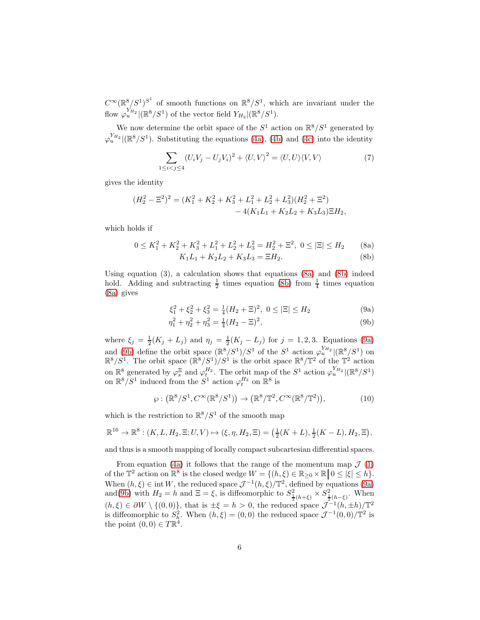$C^{\infty}(\mathbb{R}^8/S^1)^{S^1}$  of smooth functions on  $\mathbb{R}^8/S^1$ , which are invariant under the flow  $\varphi_u^{Y_{H_2}}|(\mathbb{R}^8/S^1)$  of the vector field  $Y_{H_2}|(\mathbb{R}^8/S^1)$ .

We now determine the orbit space of the  $S^1$  action on  $\mathbb{R}^8/S^1$  generated by  $\varphi_u^{Y_{H_2}}|(\mathbb{R}^8/S^1)$ . Substituting the equations [\(4a\)](#page-3-0), [\(4b\)](#page-4-0) and [\(4c\)](#page-4-1) into the identity

$$
\sum_{1 \le i < j \le 4} (U_i V_j - U_j V_i)^2 + \langle U, V \rangle^2 = \langle U, U \rangle \langle V, V \rangle \tag{7}
$$

gives the identity

$$
(H_2^2 - \Xi^2)^2 = (K_1^2 + K_2^2 + K_3^2 + L_1^2 + L_2^2 + L_3^2)(H_2^2 + \Xi^2) - 4(K_1L_1 + K_2L_2 + K_3L_3)\Xi H_2,
$$

which holds if

$$
0 \le K_1^2 + K_2^2 + K_3^2 + L_1^2 + L_2^2 + L_3^2 = H_2^2 + \Xi^2, \ 0 \le |\Xi| \le H_2 \tag{8a}
$$

<span id="page-5-2"></span><span id="page-5-1"></span><span id="page-5-0"></span>
$$
K_1L_1 + K_2L_2 + K_3L_3 = \Xi H_2.
$$
 (8b)

Using equation  $(3)$ , a calculation shows that equations  $(8a)$  and  $(8b)$  indeed hold. Adding and subtracting  $\frac{1}{2}$  times equation [\(8b\)](#page-5-1) from  $\frac{1}{4}$  times equation [\(8a\)](#page-5-0) gives

<span id="page-5-3"></span>
$$
\xi_1^2 + \xi_2^2 + \xi_3^2 = \frac{1}{4}(H_2 + \Xi)^2, \ 0 \le |\Xi| \le H_2
$$
 (9a)

$$
\eta_1^2 + \eta_2^2 + \eta_3^2 = \frac{1}{4}(H_2 - \Xi)^2,\tag{9b}
$$

where  $\xi_j = \frac{1}{2}(K_j + L_j)$  and  $\eta_j = \frac{1}{2}(K_j - L_j)$  for  $j = 1, 2, 3$ . Equations [\(9a\)](#page-5-2) and [\(9b\)](#page-5-3) define the orbit space  $(\mathbb{R}^8/S^1)/S^1$  of the  $S^1$  action  $\varphi_u^{Y_{H_2}}/(\mathbb{R}^8/S^1)$  on  $\mathbb{R}^8/S^1$ . The orbit space  $(\mathbb{R}^8/S^1)/S^1$  is the orbit space  $\mathbb{R}^8/\mathbb{T}^2$  of the  $\mathbb{T}^2$  action on  $\mathbb{R}^8$  generated by  $\varphi_s^{\Xi}$  and  $\varphi_t^{H_2}$ . The orbit map of the  $S^1$  action  $\varphi_u^{Y_{H_2}}|(\mathbb{R}^8/S^1)$ on  $\mathbb{R}^8/S^1$  induced from the  $S^1$  action  $\varphi_t^{H_2}$  on  $\mathbb{R}^8$  is

$$
\varphi: \left(\mathbb{R}^8/S^1, C^\infty(\mathbb{R}^8/S^1)\right) \to \left(\mathbb{R}^8/\mathbb{T}^2, C^\infty(\mathbb{R}^8/\mathbb{T}^2)\right),\tag{10}
$$

which is the restriction to  $\mathbb{R}^8/S^1$  of the smooth map

$$
\mathbb{R}^{16} \to \mathbb{R}^8 : (K, L, H_2, \Xi; U, V) \mapsto (\xi, \eta, H_2, \Xi) = (\frac{1}{2}(K + L), \frac{1}{2}(K - L), H_2, \Xi),
$$

and thus is a smooth mapping of locally compact subcartesian differential spaces.

From equation [\(4a\)](#page-3-0) it follows that the range of the momentum map  $\mathcal{J}(1)$  $\mathcal{J}(1)$ of the  $\mathbb{T}^2$  action on  $\mathbb{R}^8$  is the closed wedge  $W = \{(h,\xi) \in \mathbb{R}_{\geq 0} \times \mathbb{R} \mid 0 \leq |\xi| \leq h\}.$ When  $(h, \xi) \in \text{int } W$ , the reduced space  $\mathcal{J}^{-1}(h, \xi)/\mathbb{T}^2$ , defined by equations [\(9a\)](#page-5-2) and[\(9b\)](#page-5-3) with  $H_2 = h$  and  $\Xi = \xi$ , is diffeomorphic to  $S^2_{\frac{1}{2}(h+\xi)} \times S^2_{\frac{1}{2}(h-\xi)}$ . When  $(h, \xi) \in \partial W \setminus \{(0, 0)\},$  that is  $\pm \xi = h > 0$ , the reduced space  $\mathcal{J}^{-1}(h, \pm h)/\mathbb{T}^2$ is diffeomorphic to  $S_h^2$ . When  $(h, \xi) = (0, 0)$  the reduced space  $\mathcal{J}^{-1}(0, 0)/\mathbb{T}^2$  is the point  $(0,0) \in T\mathbb{R}^4$ .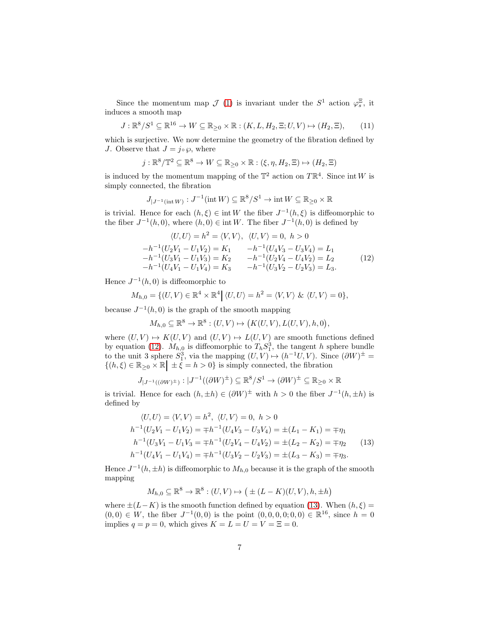Since the momentum map  $\mathcal{J}(1)$  $\mathcal{J}(1)$  is invariant under the  $S^1$  action  $\varphi_s^{\Xi}$ , it induces a smooth map

$$
J: \mathbb{R}^8 / S^1 \subseteq \mathbb{R}^{16} \to W \subseteq \mathbb{R}_{\geq 0} \times \mathbb{R} : (K, L, H_2, \Xi; U, V) \mapsto (H_2, \Xi), \qquad (11)
$$

which is surjective. We now determine the geometry of the fibration defined by J. Observe that  $J = j \circ \wp$ , where

$$
j: \mathbb{R}^8/\mathbb{T}^2 \subseteq \mathbb{R}^8 \to W \subseteq \mathbb{R}_{\geq 0} \times \mathbb{R} : (\xi, \eta, H_2, \Xi) \mapsto (H_2, \Xi)
$$

is induced by the momentum mapping of the  $\mathbb{T}^2$  action on  $T\mathbb{R}^4$ . Since int W is simply connected, the fibration

$$
J_{|J^{-1}(\mathop{\mathrm{int}}\nolimits W)}:J^{-1}(\mathop{\mathrm{int}}\nolimits W)\subseteq \mathbb{R}^8/S^1\to \mathop{\mathrm{int}}\nolimits W\subseteq \mathbb{R}_{\geq 0}\times \mathbb{R}
$$

is trivial. Hence for each  $(h, \xi) \in \text{int } W$  the fiber  $J^{-1}(h, \xi)$  is diffeomorphic to the fiber  $J^{-1}(h, 0)$ , where  $(h, 0) \in \text{int } W$ . The fiber  $J^{-1}(h, 0)$  is defined by

<span id="page-6-0"></span>
$$
\langle U, U \rangle = h^2 = \langle V, V \rangle, \quad \langle U, V \rangle = 0, \quad h > 0
$$
  
\n
$$
-h^{-1}(U_2V_1 - U_1V_2) = K_1 \qquad -h^{-1}(U_4V_3 - U_3V_4) = L_1
$$
  
\n
$$
-h^{-1}(U_3V_1 - U_1V_3) = K_2 \qquad -h^{-1}(U_2V_4 - U_4V_2) = L_2
$$
  
\n
$$
-h^{-1}(U_4V_1 - U_1V_4) = K_3 \qquad -h^{-1}(U_3V_2 - U_2V_3) = L_3.
$$
\n(12)

Hence  $J^{-1}(h,0)$  is diffeomorphic to

$$
M_{h,0} = \{ (U,V) \in \mathbb{R}^4 \times \mathbb{R}^4 \mid \langle U,U \rangle = h^2 = \langle V,V \rangle \& \langle U,V \rangle = 0 \},
$$

because  $J^{-1}(h,0)$  is the graph of the smooth mapping

$$
M_{h,0} \subseteq \mathbb{R}^8 \to \mathbb{R}^8 : (U, V) \mapsto (K(U, V), L(U, V), h, 0),
$$

where  $(U, V) \mapsto K(U, V)$  and  $(U, V) \mapsto L(U, V)$  are smooth functions defined by equation [\(12\)](#page-6-0).  $M_{h,0}$  is diffeomorphic to  $T_h S_1^3$ , the tangent h sphere bundle to the unit 3 sphere  $S_1^3$ , via the mapping  $(U, V) \mapsto (h^{-1}U, V)$ . Since  $(\partial W)^{\pm} =$  $\{(h,\xi)\in\mathbb{R}_{\geq 0}\times\mathbb{R} \mid \pm \xi = h > 0\}$  is simply connected, the fibration

$$
J_{|J^{-1}((\partial W)^{\pm})}:|J^{-1}((\partial W)^{\pm})\subseteq \mathbb{R}^{8}/S^{1}\to (\partial W)^{\pm}\subseteq \mathbb{R}_{\geq 0}\times \mathbb{R}
$$

is trivial. Hence for each  $(h, \pm h) \in (\partial W)^{\pm}$  with  $h > 0$  the fiber  $J^{-1}(h, \pm h)$  is defined by

$$
\langle U, U \rangle = \langle V, V \rangle = h^2, \ \langle U, V \rangle = 0, \ h > 0
$$
  
\n
$$
h^{-1}(U_2V_1 - U_1V_2) = \mp h^{-1}(U_4V_3 - U_3V_4) = \pm (L_1 - K_1) = \mp \eta_1
$$
  
\n
$$
h^{-1}(U_3V_1 - U_1V_3) = \mp h^{-1}(U_2V_4 - U_4V_2) = \pm (L_2 - K_2) = \mp \eta_2
$$
  
\n
$$
h^{-1}(U_4V_1 - U_1V_4) = \mp h^{-1}(U_3V_2 - U_2V_3) = \pm (L_3 - K_3) = \mp \eta_3.
$$
\n(13)

Hence  $J^{-1}(h, \pm h)$  is diffeomorphic to  $M_{h,0}$  because it is the graph of the smooth mapping

<span id="page-6-1"></span>
$$
M_{h,0} \subseteq \mathbb{R}^8 \to \mathbb{R}^8 : (U, V) \mapsto (\pm (L - K)(U, V), h, \pm h)
$$

where  $\pm(L-K)$  is the smooth function defined by equation [\(13\)](#page-6-1). When  $(h, \xi)$  =  $(0,0) \in W$ , the fiber  $J^{-1}(0,0)$  is the point  $(0,0,0,0,0,0) \in \mathbb{R}^{16}$ , since  $h = 0$ implies  $q = p = 0$ , which gives  $K = L = U = V = \Xi = 0$ .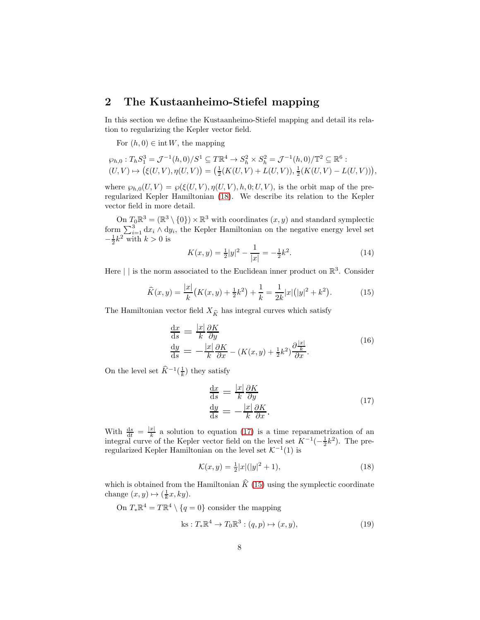### 2 The Kustaanheimo-Stiefel mapping

In this section we define the Kustaanheimo-Stiefel mapping and detail its relation to regularizing the Kepler vector field.

For  $(h, 0) \in \text{int } W$ , the mapping

$$
\varphi_{h,0}: T_h S_1^3 = \mathcal{J}^{-1}(h,0)/S^1 \subseteq T\mathbb{R}^4 \to S_h^2 \times S_h^2 = \mathcal{J}^{-1}(h,0)/\mathbb{T}^2 \subseteq \mathbb{R}^6 :
$$
  

$$
(U,V) \mapsto (\xi(U,V), \eta(U,V)) = (\frac{1}{2}(K(U,V) + L(U,V)), \frac{1}{2}(K(U,V) - L(U,V))),
$$

where  $\wp_{h,0}(U, V) = \wp(\xi(U, V), \eta(U, V), h, 0; U, V)$ , is the orbit map of the preregularized Kepler Hamiltonian [\(18\)](#page-7-0). We describe its relation to the Kepler vector field in more detail.

On  $T_0 \mathbb{R}^3 = (\mathbb{R}^3 \setminus \{0\}) \times \mathbb{R}^3$  with coordinates  $(x, y)$  and standard symplectic form  $\sum_{i=1}^{3} dx_i \wedge dy_i$ , the Kepler Hamiltonian on the negative energy level set  $-\frac{1}{2}k^2$  with  $k > 0$  is

$$
K(x,y) = \frac{1}{2}|y|^2 - \frac{1}{|x|} = -\frac{1}{2}k^2.
$$
 (14)

Here  $\vert \ \vert$  is the norm associated to the Euclidean inner product on  $\mathbb{R}^3$ . Consider

<span id="page-7-2"></span>
$$
\widehat{K}(x,y) = \frac{|x|}{k} \big(K(x,y) + \frac{1}{2}k^2\big) + \frac{1}{k} = \frac{1}{2k}|x|\big(|y|^2 + k^2\big). \tag{15}
$$

The Hamiltonian vector field  $X_{\widehat{K}}$  has integral curves which satisfy

$$
\frac{dx}{ds} = \frac{|x|}{k} \frac{\partial K}{\partial y} \n\frac{dy}{ds} = -\frac{|x|}{k} \frac{\partial K}{\partial x} - (K(x, y) + \frac{1}{2}k^2) \frac{\partial \frac{|x|}{k}}{\partial x}.
$$
\n(16)

On the level set  $\widehat{K}^{-1}(\frac{1}{k})$  they satisfy

<span id="page-7-1"></span>
$$
\frac{\mathrm{d}x}{\mathrm{d}s} = \frac{|x|}{k} \frac{\partial K}{\partial y} \n\frac{\mathrm{d}y}{\mathrm{d}s} = -\frac{|x|}{k} \frac{\partial K}{\partial x}.
$$
\n(17)

With  $\frac{ds}{dt} = \frac{|x|}{k}$  $\frac{x}{k}$  a solution to equation [\(17\)](#page-7-1) is a time reparametrization of an integral curve of the Kepler vector field on the level set  $K^{-1}(-\frac{1}{2}k^2)$ . The preregularized Kepler Hamiltonian on the level set  $K^{-1}(1)$  is

<span id="page-7-0"></span>
$$
\mathcal{K}(x, y) = \frac{1}{2}|x|(|y|^2 + 1),\tag{18}
$$

which is obtained from the Hamiltonian  $\hat{K}$  [\(15\)](#page-7-2) using the symplectic coordinate change  $(x, y) \mapsto (\frac{1}{k}x, ky).$ 

On  $T_*\mathbb{R}^4 = T\mathbb{R}^4 \setminus \{q=0\}$  consider the mapping

<span id="page-7-3"></span>
$$
ks: T_*\mathbb{R}^4 \to T_0\mathbb{R}^3 : (q, p) \mapsto (x, y), \tag{19}
$$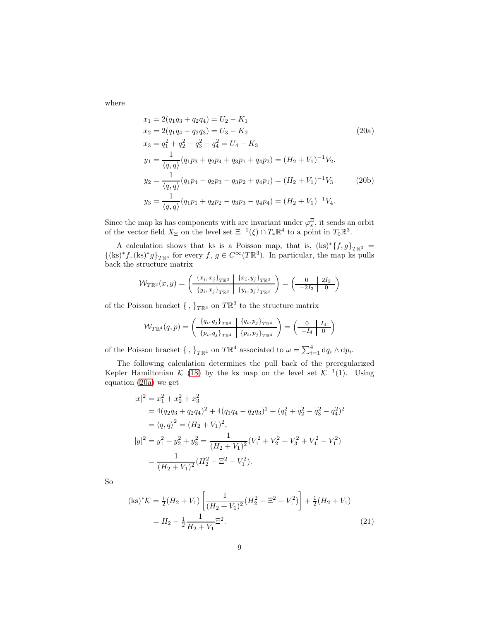where

<span id="page-8-2"></span><span id="page-8-0"></span>
$$
x_1 = 2(q_1q_3 + q_2q_4) = U_2 - K_1
$$
  
\n
$$
x_2 = 2(q_1q_4 - q_2q_3) = U_3 - K_2
$$
  
\n
$$
x_3 = q_1^2 + q_2^2 - q_3^2 - q_4^2 = U_4 - K_3
$$
  
\n
$$
y_1 = \frac{1}{\langle q, q \rangle} (q_1p_3 + q_2p_4 + q_3p_1 + q_4p_2) = (H_2 + V_1)^{-1}V_2.
$$
  
\n
$$
y_2 = \frac{1}{\langle q, q \rangle} (q_1p_4 - q_2p_3 - q_3p_2 + q_4p_1) = (H_2 + V_1)^{-1}V_3
$$
  
\n
$$
y_3 = \frac{1}{\langle q, q \rangle} (q_1p_1 + q_2p_2 - q_3p_3 - q_4p_4) = (H_2 + V_1)^{-1}V_4.
$$
  
\n(20b)

Since the map ks has components with are invariant under  $\varphi_s^{\Xi}$ , it sends an orbit of the vector field  $X_{\Xi}$  on the level set  $\Xi^{-1}(\xi) \cap T_* \mathbb{R}^4$  to a point in  $T_0 \mathbb{R}^3$ .

A calculation shows that ks is a Poisson map, that is,  $(ks) * \{f, g\}_{T \mathbb{R}^3}$  $\{(\text{ks})^* f, (\text{ks})^* g\}_{T \mathbb{R}^4}$  for every  $f, g \in C^\infty(T \mathbb{R}^3)$ . In particular, the map ks pulls back the structure matrix

$$
\mathcal{W}_{T\mathbb{R}^3}(x,y) = \left(\begin{array}{c|c} \{x_i, x_j\}_{T\mathbb{R}^3} & \{x_i, y_j\}_{T\mathbb{R}^3} \\ \hline \{y_i, x_j\}_{T\mathbb{R}^3} & \{y_i, y_j\}_{T\mathbb{R}^3} \end{array}\right) = \left(\begin{array}{c|c} 0 & 2I_3 \\ \hline -2I_3 & 0 \end{array}\right)
$$

of the Poisson bracket  $\{\,,\,\}_{T\mathbb{R}^3}$  on  $T\mathbb{R}^3$  to the structure matrix

$$
\mathcal{W}_{T\mathbb{R}^4}(q,p) = \left(\begin{array}{c|c} \frac{\{q_i, q_j\}_{T\mathbb{R}^4} & \{q_i, p_j\}_{T\mathbb{R}^4}}{\{p_i, q_j\}_{T\mathbb{R}^4} & \{p_i, p_j\}_{T\mathbb{R}^4}} \end{array}\right) = \left(\begin{array}{c|c} 0 & I_4 \\ \hline -I_4 & 0 \end{array}\right)
$$

of the Poisson bracket  $\{\, ,\,\}_{T\mathbb{R}^4}$  on  $T\mathbb{R}^4$  associated to  $\omega = \sum_{i=1}^4 dq_i \wedge dp_i$ .

The following calculation determines the pull back of the preregularized Kepler Hamiltonian  $\mathcal{K}$  [\(18\)](#page-7-0) by the ks map on the level set  $\mathcal{K}^{-1}(1)$ . Using equation [\(20a\)](#page-8-0) we get

$$
|x|^2 = x_1^2 + x_2^2 + x_3^2
$$
  
=  $4(q_2q_3 + q_2q_4)^2 + 4(q_1q_4 - q_2q_3)^2 + (q_1^2 + q_2^2 - q_3^2 - q_4^2)^2$   
=  $\langle q, q \rangle^2 = (H_2 + V_1)^2$ ,  

$$
|y|^2 = y_1^2 + y_2^2 + y_3^2 = \frac{1}{(H_2 + V_1)^2} (V_1^2 + V_2^2 + V_3^2 + V_4^2 - V_1^2)
$$
  
=  $\frac{1}{(H_2 + V_1)^2} (H_2^2 - \Xi^2 - V_1^2).$ 

So

<span id="page-8-1"></span>
$$
(\text{ks})^* \mathcal{K} = \frac{1}{2} (H_2 + V_1) \left[ \frac{1}{(H_2 + V_1)^2} (H_2^2 - \Xi^2 - V_1^2) \right] + \frac{1}{2} (H_2 + V_1)
$$
  
=  $H_2 - \frac{1}{2} \frac{1}{H_2 + V_1} \Xi^2$ . (21)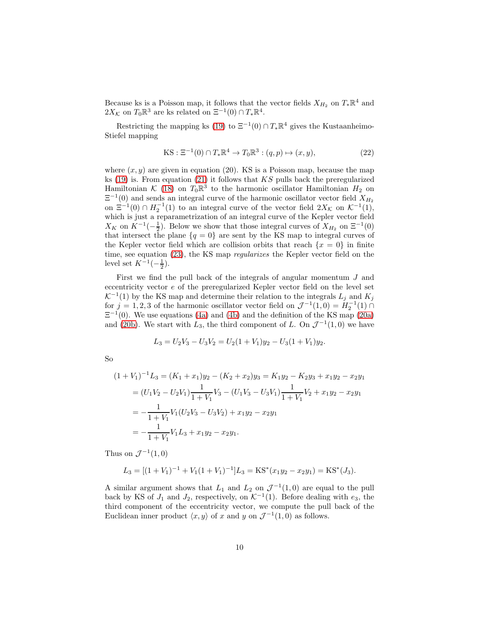Because ks is a Poisson map, it follows that the vector fields  $X_{H_2}$  on  $T_*\mathbb{R}^4$  and  $2X_{\mathcal{K}}$  on  $T_0\mathbb{R}^3$  are ks related on  $\Xi^{-1}(0) \cap T_*\mathbb{R}^4$ .

Restricting the mapping ks [\(19\)](#page-7-3) to  $\Xi^{-1}(0) \cap T_*\mathbb{R}^4$  gives the Kustaanheimo-Stiefel mapping

KS: 
$$
\Xi^{-1}(0) \cap T_* \mathbb{R}^4 \to T_0 \mathbb{R}^3 : (q, p) \mapsto (x, y),
$$
 (22)

where  $(x, y)$  are given in equation (20). KS is a Poisson map, because the map ks  $(19)$  is. From equation  $(21)$  it follows that KS pulls back the preregularized Hamiltonian  $\mathcal{K}$  [\(18\)](#page-7-0) on  $T_0\mathbb{R}^3$  to the harmonic oscillator Hamiltonian  $H_2$  on  $\Xi^{-1}(0)$  and sends an integral curve of the harmonic oscillator vector field  $X_{H_2}$ on  $\Xi^{-1}(0) \cap H_2^{-1}(1)$  to an integral curve of the vector field  $2X_K$  on  $\mathcal{K}^{-1}(1)$ , which is just a reparametrization of an integral curve of the Kepler vector field  $X_K$  on  $K^{-1}(-\frac{1}{2})$ . Below we show that those integral curves of  $X_{H_2}$  on  $\Xi^{-1}(0)$ that intersect the plane  ${q = 0}$  are sent by the KS map to integral curves of the Kepler vector field which are collision orbits that reach  $\{x = 0\}$  in finite time, see equation [\(23\)](#page-10-0), the KS map regularizes the Kepler vector field on the level set  $K^{-1}(-\frac{1}{2})$ .

First we find the pull back of the integrals of angular momentum J and eccentricity vector e of the preregularized Kepler vector field on the level set  $\mathcal{K}^{-1}(1)$  by the KS map and determine their relation to the integrals  $L_j$  and  $K_j$ for  $j = 1, 2, 3$  of the harmonic oscillator vector field on  $\mathcal{J}^{-1}(1,0) = H_2^{-1}(1)$  $\Xi^{-1}(0)$ . We use equations [\(4a\)](#page-3-0) and [\(4b\)](#page-4-0) and the definition of the KS map [\(20a\)](#page-8-0) and [\(20b\)](#page-8-2). We start with  $L_3$ , the third component of L. On  $\mathcal{J}^{-1}(1,0)$  we have

$$
L_3 = U_2 V_3 - U_3 V_2 = U_2 (1 + V_1) y_2 - U_3 (1 + V_1) y_2.
$$

So

$$
(1 + V_1)^{-1}L_3 = (K_1 + x_1)y_2 - (K_2 + x_2)y_3 = K_1y_2 - K_2y_3 + x_1y_2 - x_2y_1
$$
  
=  $(U_1V_2 - U_2V_1)\frac{1}{1 + V_1}V_3 - (U_1V_3 - U_3V_1)\frac{1}{1 + V_1}V_2 + x_1y_2 - x_2y_1$   
=  $-\frac{1}{1 + V_1}V_1(U_2V_3 - U_3V_2) + x_1y_2 - x_2y_1$   
=  $-\frac{1}{1 + V_1}V_1L_3 + x_1y_2 - x_2y_1$ .

Thus on  $\mathcal{J}^{-1}(1,0)$ 

$$
L_3 = [(1 + V_1)^{-1} + V_1(1 + V_1)^{-1}]L_3 = \text{KS}^*(x_1y_2 - x_2y_1) = \text{KS}^*(J_3).
$$

A similar argument shows that  $L_1$  and  $L_2$  on  $\mathcal{J}^{-1}(1,0)$  are equal to the pull back by KS of  $J_1$  and  $J_2$ , respectively, on  $\mathcal{K}^{-1}(1)$ . Before dealing with  $e_3$ , the third component of the eccentricity vector, we compute the pull back of the Euclidean inner product  $\langle x, y \rangle$  of x and y on  $\mathcal{J}^{-1}(1, 0)$  as follows.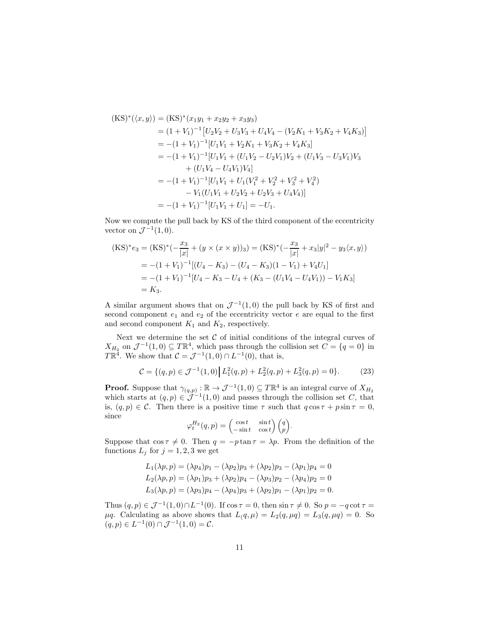$$
(KS)^{*}(\langle x, y \rangle) = (KS)^{*}(x_1y_1 + x_2y_2 + x_3y_3)
$$
  
\n
$$
= (1 + V_1)^{-1} [U_2V_2 + U_3V_3 + U_4V_4 - (V_2K_1 + V_3K_2 + V_4K_3)]
$$
  
\n
$$
= -(1 + V_1)^{-1} [U_1V_1 + V_2K_1 + V_3K_2 + V_4K_3]
$$
  
\n
$$
= -(1 + V_1)^{-1} [U_1V_1 + (U_1V_2 - U_2V_1)V_2 + (U_1V_3 - U_3V_1)V_3
$$
  
\n
$$
+ (U_1V_4 - U_4V_1)V_4]
$$
  
\n
$$
= -(1 + V_1)^{-1} [U_1V_1 + U_1(V_1^2 + V_2^2 + V_3^2 + V_4^2)
$$
  
\n
$$
- V_1(U_1V_1 + U_2V_2 + U_2V_3 + U_4V_4)]
$$
  
\n
$$
= -(1 + V_1)^{-1} [U_1V_1 + U_1] = -U_1.
$$

Now we compute the pull back by KS of the third component of the eccentricity vector on  $\mathcal{J}^{-1}(1,0)$ .

$$
\begin{aligned} \text{(KS)}^* e_3 &= \text{(KS)}^* (-\frac{x_3}{|x|} + (y \times (x \times y))_3) = \text{(KS)}^* (-\frac{x_3}{|x|} + x_3 |y|^2 - y_3 \langle x, y \rangle) \\ &= -(1 + V_1)^{-1} [(U_4 - K_3) - (U_4 - K_3)(1 - V_1) + V_4 U_1] \\ &= -(1 + V_1)^{-1} [U_4 - K_3 - U_4 + (K_3 - (U_1 V_4 - U_4 V_1)) - V_1 K_3] \\ &= K_3. \end{aligned}
$$

A similar argument shows that on  $\mathcal{J}^{-1}(1,0)$  the pull back by KS of first and second component  $e_1$  and  $e_2$  of the eccentricity vector  $e$  are equal to the first and second component  $K_1$  and  $K_2$ , respectively.

Next we determine the set  $C$  of initial conditions of the integral curves of  $X_{H_2}$  on  $\mathcal{J}^{-1}(1,0) \subseteq T\mathbb{R}^4$ , which pass through the collision set  $C = \{q = 0\}$  in  $T\mathbb{R}^4$ . We show that  $C = \mathcal{J}^{-1}(1,0) \cap L^{-1}(0)$ , that is,

<span id="page-10-0"></span>
$$
\mathcal{C} = \{(q, p) \in \mathcal{J}^{-1}(1, 0) \mid L_1^2(q, p) + L_2^2(q, p) + L_3^2(q, p) = 0\}.
$$
 (23)

**Proof.** Suppose that  $\gamma_{(q,p)} : \mathbb{R} \to \mathcal{J}^{-1}(1,0) \subseteq T\mathbb{R}^4$  is an integral curve of  $X_{H_2}$ which starts at  $(q, p) \in \mathcal{J}^{-1}(1, 0)$  and passes through the collision set C, that is,  $(q, p) \in \mathcal{C}$ . Then there is a positive time  $\tau$  such that  $q \cos \tau + p \sin \tau = 0$ , since

$$
\varphi_t^{H_2}(q, p) = \begin{pmatrix} \cos t & \sin t \\ -\sin t & \cos t \end{pmatrix} \begin{pmatrix} q \\ p \end{pmatrix}.
$$

Suppose that  $\cos \tau \neq 0$ . Then  $q = -p \tan \tau = \lambda p$ . From the definition of the functions  $L_j$  for  $j = 1, 2, 3$  we get

$$
L_1(\lambda p, p) = (\lambda p_4)p_1 - (\lambda p_2)p_3 + (\lambda p_2)p_3 - (\lambda p_1)p_4 = 0
$$
  
\n
$$
L_2(\lambda p, p) = (\lambda p_1)p_3 + (\lambda p_2)p_4 - (\lambda p_3)p_2 - (\lambda p_4)p_2 = 0
$$
  
\n
$$
L_3(\lambda p, p) = (\lambda p_3)p_4 - (\lambda p_4)p_3 + (\lambda p_2)p_1 - (\lambda p_1)p_2 = 0.
$$

Thus  $(q, p) \in \mathcal{J}^{-1}(1, 0) \cap L^{-1}(0)$ . If  $\cos \tau = 0$ , then  $\sin \tau \neq 0$ . So  $p = -q \cot \tau =$  $\mu q$ . Calculating as above shows that  $L(q, \mu) = L_2(q, \mu q) = L_3(q, \mu q) = 0$ . So  $(q, p) \in L^{-1}(0) \cap \mathcal{J}^{-1}(1, 0) = \mathcal{C}.$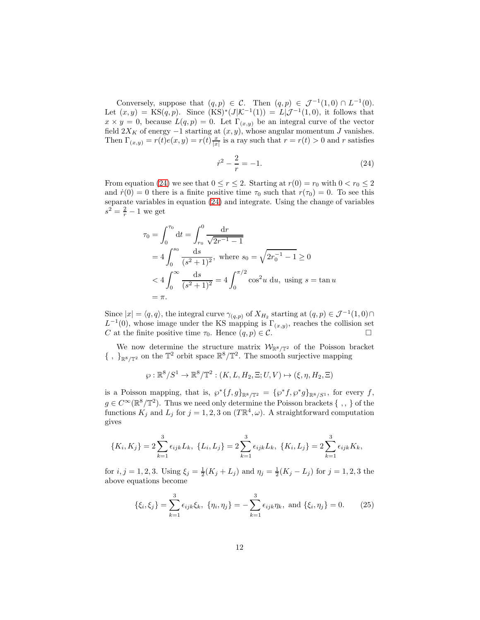Conversely, suppose that  $(q, p) \in C$ . Then  $(q, p) \in \mathcal{J}^{-1}(1, 0) \cap L^{-1}(0)$ . Let  $(x, y) = KS(q, p)$ . Since  $(KS)^*(J[K^{-1}(1)) = L|J^{-1}(1, 0)$ , it follows that  $x \times y = 0$ , because  $L(q, p) = 0$ . Let  $\Gamma_{(x,y)}$  be an integral curve of the vector field  $2X_K$  of energy  $-1$  starting at  $(x, y)$ , whose angular momentum J vanishes. Then  $\Gamma_{(x,y)} = r(t)e(x, y) = r(t)\frac{x}{|x|}$  is a ray such that  $r = r(t) > 0$  and r satisfies

<span id="page-11-0"></span>
$$
\dot{r}^2 - \frac{2}{r} = -1.\tag{24}
$$

From equation [\(24\)](#page-11-0) we see that  $0 \le r \le 2$ . Starting at  $r(0) = r_0$  with  $0 < r_0 \le 2$ and  $\dot{r}(0) = 0$  there is a finite positive time  $\tau_0$  such that  $r(\tau_0) = 0$ . To see this separate variables in equation [\(24\)](#page-11-0) and integrate. Using the change of variables  $s^2 = \frac{2}{r} - 1$  we get

$$
\tau_0 = \int_0^{\tau_0} dt = \int_{r_0}^0 \frac{dr}{\sqrt{2r^{-1} - 1}}
$$
  
=  $4 \int_0^{s_0} \frac{ds}{(s^2 + 1)^2}$ , where  $s_0 = \sqrt{2r_0^{-1} - 1} \ge 0$   
 $< 4 \int_0^{\infty} \frac{ds}{(s^2 + 1)^2} = 4 \int_0^{\pi/2} \cos^2 u \, du$ , using  $s = \tan u$   
=  $\pi$ .

Since  $|x| = \langle q, q \rangle$ , the integral curve  $\gamma_{(q,p)}$  of  $X_{H_2}$  starting at  $(q, p) \in \mathcal{J}^{-1}(1, 0) \cap$  $L^{-1}(0)$ , whose image under the KS mapping is  $\Gamma_{(x,y)}$ , reaches the collision set C at the finite positive time  $\tau_0$ . Hence  $(q, p) \in \mathcal{C}$ .

We now determine the structure matrix  $W_{\mathbb{R}^8/\mathbb{T}^2}$  of the Poisson bracket  $\{\ ,\ \}_{\mathbb{R}^8/\mathbb{T}^2}$  on the  $\mathbb{T}^2$  orbit space  $\mathbb{R}^8/\mathbb{T}^2.$  The smooth surjective mapping

$$
\wp : \mathbb{R}^8 / S^1 \to \mathbb{R}^8 / \mathbb{T}^2 : (K, L, H_2, \Xi; U, V) \mapsto (\xi, \eta, H_2, \Xi)
$$

is a Poisson mapping, that is,  $\wp^*\{f,g\}_{\mathbb{R}^8/\mathbb{T}^2} = {\{\wp^*f,\wp^*g\}_{\mathbb{R}^8/S^1}}$ , for every f,  $g \in C^{\infty}(\mathbb{R}^{8}/\mathbb{T}^{2})$ . Thus we need only determine the Poisson brackets { , , } of the functions  $K_j$  and  $L_j$  for  $j = 1, 2, 3$  on  $(T \mathbb{R}^4, \omega)$ . A straightforward computation gives

$$
\{K_i, K_j\} = 2\sum_{k=1}^3 \epsilon_{ijk} L_k, \ \{L_i, L_j\} = 2\sum_{k=1}^3 \epsilon_{ijk} L_k, \ \{K_i, L_j\} = 2\sum_{k=1}^3 \epsilon_{ijk} K_k,
$$

for  $i, j = 1, 2, 3$ . Using  $\xi_j = \frac{1}{2}(K_j + L_j)$  and  $\eta_j = \frac{1}{2}(K_j - L_j)$  for  $j = 1, 2, 3$  the above equations become

$$
\{\xi_i, \xi_j\} = \sum_{k=1}^3 \epsilon_{ijk} \xi_k, \ \{\eta_i, \eta_j\} = -\sum_{k=1}^3 \epsilon_{ijk} \eta_k, \text{ and } \{\xi_i, \eta_j\} = 0. \tag{25}
$$